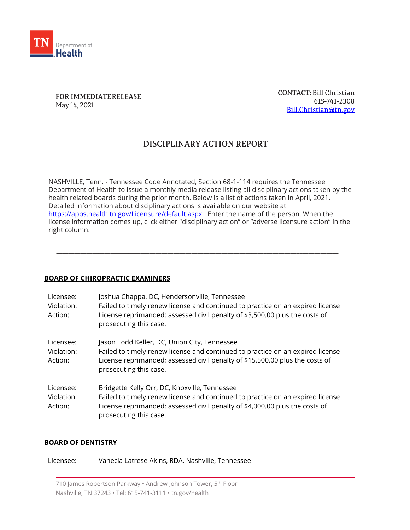

FOR IMMEDIATE RELEASE May 14, 2021

**CONTACT: Bill Christian** 615-741-2308 Bill.Christian@tn.gov

# DISCIPLINARY ACTION REPORT

NASHVILLE, Tenn. - Tennessee Code Annotated, Section 68-1-114 requires the Tennessee Department of Health to issue a monthly media release listing all disciplinary actions taken by the health related boards during the prior month. Below is a list of actions taken in April, 2021. Detailed information about disciplinary actions is available on our website at <https://apps.health.tn.gov/Licensure/default.aspx> . Enter the name of the person. When the license information comes up, click either "disciplinary action" or "adverse licensure action" in the right column.

\_\_\_\_\_\_\_\_\_\_\_\_\_\_\_\_\_\_\_\_\_\_\_\_\_\_\_\_\_\_\_\_\_\_\_\_\_\_\_\_\_\_\_\_\_\_\_\_\_\_\_\_\_\_\_\_\_\_\_\_\_\_\_\_\_\_\_\_\_\_\_\_\_\_\_\_\_\_\_\_\_\_\_\_\_\_\_\_\_\_\_\_\_\_

#### **BOARD OF CHIROPRACTIC EXAMINERS**

| Licensee:<br>Violation:<br>Action: | Joshua Chappa, DC, Hendersonville, Tennessee<br>Failed to timely renew license and continued to practice on an expired license<br>License reprimanded; assessed civil penalty of \$3,500.00 plus the costs of<br>prosecuting this case.  |
|------------------------------------|------------------------------------------------------------------------------------------------------------------------------------------------------------------------------------------------------------------------------------------|
| Licensee:<br>Violation:<br>Action: | Jason Todd Keller, DC, Union City, Tennessee<br>Failed to timely renew license and continued to practice on an expired license<br>License reprimanded; assessed civil penalty of \$15,500.00 plus the costs of<br>prosecuting this case. |
| Licensee:<br>Violation:<br>Action: | Bridgette Kelly Orr, DC, Knoxville, Tennessee<br>Failed to timely renew license and continued to practice on an expired license<br>License reprimanded; assessed civil penalty of \$4,000.00 plus the costs of<br>prosecuting this case. |

#### **BOARD OF DENTISTRY**

Licensee: Vanecia Latrese Akins, RDA, Nashville, Tennessee

710 James Robertson Parkway • Andrew Johnson Tower, 5th Floor Nashville, TN 37243 • Tel: 615-741-3111 • tn.gov/health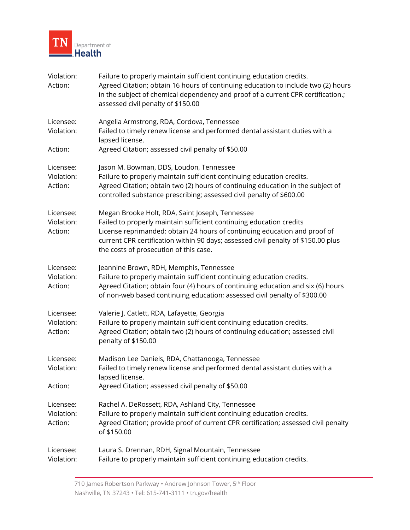

| Violation:<br>Action:              | Failure to properly maintain sufficient continuing education credits.<br>Agreed Citation; obtain 16 hours of continuing education to include two (2) hours<br>in the subject of chemical dependency and proof of a current CPR certification.;<br>assessed civil penalty of \$150.00                                               |
|------------------------------------|------------------------------------------------------------------------------------------------------------------------------------------------------------------------------------------------------------------------------------------------------------------------------------------------------------------------------------|
| Licensee:<br>Violation:            | Angelia Armstrong, RDA, Cordova, Tennessee<br>Failed to timely renew license and performed dental assistant duties with a<br>lapsed license.                                                                                                                                                                                       |
| Action:                            | Agreed Citation; assessed civil penalty of \$50.00                                                                                                                                                                                                                                                                                 |
| Licensee:<br>Violation:<br>Action: | Jason M. Bowman, DDS, Loudon, Tennessee<br>Failure to properly maintain sufficient continuing education credits.<br>Agreed Citation; obtain two (2) hours of continuing education in the subject of<br>controlled substance prescribing; assessed civil penalty of \$600.00                                                        |
| Licensee:<br>Violation:<br>Action: | Megan Brooke Holt, RDA, Saint Joseph, Tennessee<br>Failed to properly maintain sufficient continuing education credits<br>License reprimanded; obtain 24 hours of continuing education and proof of<br>current CPR certification within 90 days; assessed civil penalty of \$150.00 plus<br>the costs of prosecution of this case. |
| Licensee:<br>Violation:<br>Action: | Jeannine Brown, RDH, Memphis, Tennessee<br>Failure to properly maintain sufficient continuing education credits.<br>Agreed Citation; obtain four (4) hours of continuing education and six (6) hours<br>of non-web based continuing education; assessed civil penalty of \$300.00                                                  |
| Licensee:<br>Violation:<br>Action: | Valerie J. Catlett, RDA, Lafayette, Georgia<br>Failure to properly maintain sufficient continuing education credits.<br>Agreed Citation; obtain two (2) hours of continuing education; assessed civil<br>penalty of \$150.00                                                                                                       |
| Licensee:<br>Violation:            | Madison Lee Daniels, RDA, Chattanooga, Tennessee<br>Failed to timely renew license and performed dental assistant duties with a<br>lapsed license.                                                                                                                                                                                 |
| Action:                            | Agreed Citation; assessed civil penalty of \$50.00                                                                                                                                                                                                                                                                                 |
| Licensee:<br>Violation:<br>Action: | Rachel A. DeRossett, RDA, Ashland City, Tennessee<br>Failure to properly maintain sufficient continuing education credits.<br>Agreed Citation; provide proof of current CPR certification; assessed civil penalty<br>of \$150.00                                                                                                   |
| Licensee:<br>Violation:            | Laura S. Drennan, RDH, Signal Mountain, Tennessee<br>Failure to properly maintain sufficient continuing education credits.                                                                                                                                                                                                         |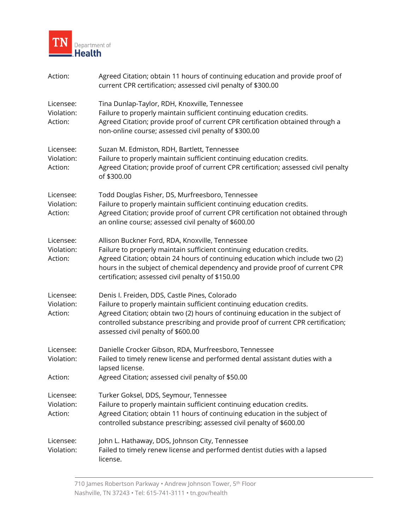

| Action:                            | Agreed Citation; obtain 11 hours of continuing education and provide proof of<br>current CPR certification; assessed civil penalty of \$300.00                                                                                                                                                                                                  |
|------------------------------------|-------------------------------------------------------------------------------------------------------------------------------------------------------------------------------------------------------------------------------------------------------------------------------------------------------------------------------------------------|
| Licensee:<br>Violation:<br>Action: | Tina Dunlap-Taylor, RDH, Knoxville, Tennessee<br>Failure to properly maintain sufficient continuing education credits.<br>Agreed Citation; provide proof of current CPR certification obtained through a<br>non-online course; assessed civil penalty of \$300.00                                                                               |
| Licensee:<br>Violation:<br>Action: | Suzan M. Edmiston, RDH, Bartlett, Tennessee<br>Failure to properly maintain sufficient continuing education credits.<br>Agreed Citation; provide proof of current CPR certification; assessed civil penalty<br>of \$300.00                                                                                                                      |
| Licensee:<br>Violation:<br>Action: | Todd Douglas Fisher, DS, Murfreesboro, Tennessee<br>Failure to properly maintain sufficient continuing education credits.<br>Agreed Citation; provide proof of current CPR certification not obtained through<br>an online course; assessed civil penalty of \$600.00                                                                           |
| Licensee:<br>Violation:<br>Action: | Allison Buckner Ford, RDA, Knoxville, Tennessee<br>Failure to properly maintain sufficient continuing education credits.<br>Agreed Citation; obtain 24 hours of continuing education which include two (2)<br>hours in the subject of chemical dependency and provide proof of current CPR<br>certification; assessed civil penalty of \$150.00 |
| Licensee:<br>Violation:<br>Action: | Denis I. Freiden, DDS, Castle Pines, Colorado<br>Failure to properly maintain sufficient continuing education credits.<br>Agreed Citation; obtain two (2) hours of continuing education in the subject of<br>controlled substance prescribing and provide proof of current CPR certification;<br>assessed civil penalty of \$600.00             |
| Licensee:<br>Violation:<br>Action: | Danielle Crocker Gibson, RDA, Murfreesboro, Tennessee<br>Failed to timely renew license and performed dental assistant duties with a<br>lapsed license.<br>Agreed Citation; assessed civil penalty of \$50.00                                                                                                                                   |
| Licensee:<br>Violation:<br>Action: | Turker Goksel, DDS, Seymour, Tennessee<br>Failure to properly maintain sufficient continuing education credits.<br>Agreed Citation; obtain 11 hours of continuing education in the subject of<br>controlled substance prescribing; assessed civil penalty of \$600.00                                                                           |
| Licensee:<br>Violation:            | John L. Hathaway, DDS, Johnson City, Tennessee<br>Failed to timely renew license and performed dentist duties with a lapsed<br>license.                                                                                                                                                                                                         |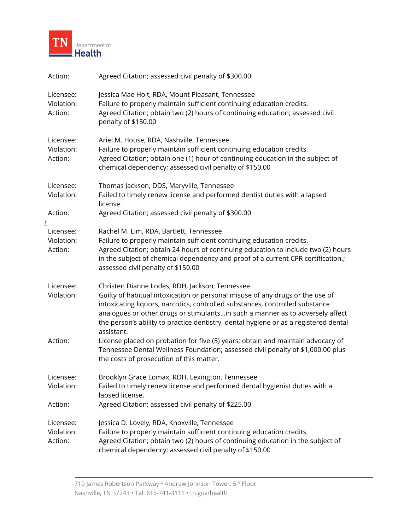

| Action:                                 | Agreed Citation; assessed civil penalty of \$300.00                                                                                                                                                                                                                                                                                                                                                    |
|-----------------------------------------|--------------------------------------------------------------------------------------------------------------------------------------------------------------------------------------------------------------------------------------------------------------------------------------------------------------------------------------------------------------------------------------------------------|
| Licensee:<br>Violation:<br>Action:      | Jessica Mae Holt, RDA, Mount Pleasant, Tennessee<br>Failure to properly maintain sufficient continuing education credits.<br>Agreed Citation; obtain two (2) hours of continuing education; assessed civil<br>penalty of \$150.00                                                                                                                                                                      |
| Licensee:<br>Violation:<br>Action:      | Ariel M. House, RDA, Nashville, Tennessee<br>Failure to properly maintain sufficient continuing education credits.<br>Agreed Citation; obtain one (1) hour of continuing education in the subject of<br>chemical dependency; assessed civil penalty of \$150.00                                                                                                                                        |
| Licensee:<br>Violation:                 | Thomas Jackson, DDS, Maryville, Tennessee<br>Failed to timely renew license and performed dentist duties with a lapsed<br>license.                                                                                                                                                                                                                                                                     |
| Action:                                 | Agreed Citation; assessed civil penalty of \$300.00                                                                                                                                                                                                                                                                                                                                                    |
| r<br>Licensee:<br>Violation:<br>Action: | Rachel M. Lim, RDA, Bartlett, Tennessee<br>Failure to properly maintain sufficient continuing education credits.<br>Agreed Citation; obtain 24 hours of continuing education to include two (2) hours<br>in the subject of chemical dependency and proof of a current CPR certification.;<br>assessed civil penalty of \$150.00                                                                        |
| Licensee:<br>Violation:                 | Christen Dianne Lodes, RDH, Jackson, Tennessee<br>Guilty of habitual intoxication or personal misuse of any drugs or the use of<br>intoxicating liquors, narcotics, controlled substances, controlled substance<br>analogues or other drugs or stimulantsin such a manner as to adversely affect<br>the person's ability to practice dentistry, dental hygiene or as a registered dental<br>assistant. |
| Action:                                 | License placed on probation for five (5) years; obtain and maintain advocacy of<br>Tennessee Dental Wellness Foundation; assessed civil penalty of \$1,000.00 plus<br>the costs of prosecution of this matter.                                                                                                                                                                                         |
| Licensee:<br>Violation:                 | Brooklyn Grace Lomax, RDH, Lexington, Tennessee<br>Failed to timely renew license and performed dental hygienist duties with a<br>lapsed license.                                                                                                                                                                                                                                                      |
| Action:                                 | Agreed Citation; assessed civil penalty of \$225.00                                                                                                                                                                                                                                                                                                                                                    |
| Licensee:<br>Violation:<br>Action:      | Jessica D. Lovely, RDA, Knoxville, Tennessee<br>Failure to properly maintain sufficient continuing education credits.<br>Agreed Citation; obtain two (2) hours of continuing education in the subject of<br>chemical dependency; assessed civil penalty of \$150.00                                                                                                                                    |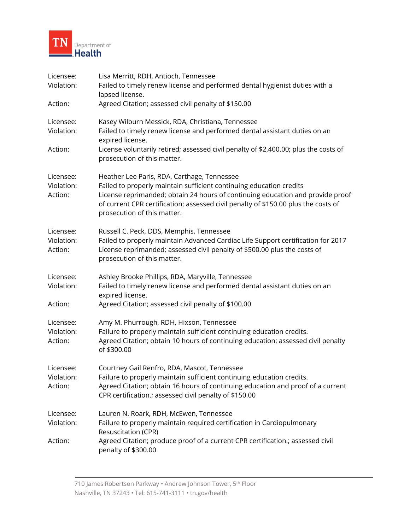

| Licensee:<br>Violation: | Lisa Merritt, RDH, Antioch, Tennessee<br>Failed to timely renew license and performed dental hygienist duties with a                                                                                                                                                       |
|-------------------------|----------------------------------------------------------------------------------------------------------------------------------------------------------------------------------------------------------------------------------------------------------------------------|
|                         | lapsed license.                                                                                                                                                                                                                                                            |
| Action:                 | Agreed Citation; assessed civil penalty of \$150.00                                                                                                                                                                                                                        |
| Licensee:               | Kasey Wilburn Messick, RDA, Christiana, Tennessee                                                                                                                                                                                                                          |
| Violation:              | Failed to timely renew license and performed dental assistant duties on an<br>expired license.                                                                                                                                                                             |
| Action:                 | License voluntarily retired; assessed civil penalty of \$2,400.00; plus the costs of<br>prosecution of this matter.                                                                                                                                                        |
| Licensee:               | Heather Lee Paris, RDA, Carthage, Tennessee                                                                                                                                                                                                                                |
| Violation:<br>Action:   | Failed to properly maintain sufficient continuing education credits<br>License reprimanded; obtain 24 hours of continuing education and provide proof<br>of current CPR certification; assessed civil penalty of \$150.00 plus the costs of<br>prosecution of this matter. |
| Licensee:               | Russell C. Peck, DDS, Memphis, Tennessee                                                                                                                                                                                                                                   |
| Violation:<br>Action:   | Failed to properly maintain Advanced Cardiac Life Support certification for 2017<br>License reprimanded; assessed civil penalty of \$500.00 plus the costs of<br>prosecution of this matter.                                                                               |
| Licensee:               | Ashley Brooke Phillips, RDA, Maryville, Tennessee                                                                                                                                                                                                                          |
| Violation:              | Failed to timely renew license and performed dental assistant duties on an<br>expired license.                                                                                                                                                                             |
| Action:                 | Agreed Citation; assessed civil penalty of \$100.00                                                                                                                                                                                                                        |
| Licensee:               | Amy M. Phurrough, RDH, Hixson, Tennessee                                                                                                                                                                                                                                   |
| Violation:<br>Action:   | Failure to properly maintain sufficient continuing education credits.<br>Agreed Citation; obtain 10 hours of continuing education; assessed civil penalty<br>of \$300.00                                                                                                   |
| Licensee:               | Courtney Gail Renfro, RDA, Mascot, Tennessee                                                                                                                                                                                                                               |
| Violation:<br>Action:   | Failure to properly maintain sufficient continuing education credits.<br>Agreed Citation; obtain 16 hours of continuing education and proof of a current<br>CPR certification.; assessed civil penalty of \$150.00                                                         |
| Licensee:               | Lauren N. Roark, RDH, McEwen, Tennessee                                                                                                                                                                                                                                    |
| Violation:              | Failure to properly maintain required certification in Cardiopulmonary<br>Resuscitation (CPR)                                                                                                                                                                              |
| Action:                 | Agreed Citation; produce proof of a current CPR certification.; assessed civil<br>penalty of \$300.00                                                                                                                                                                      |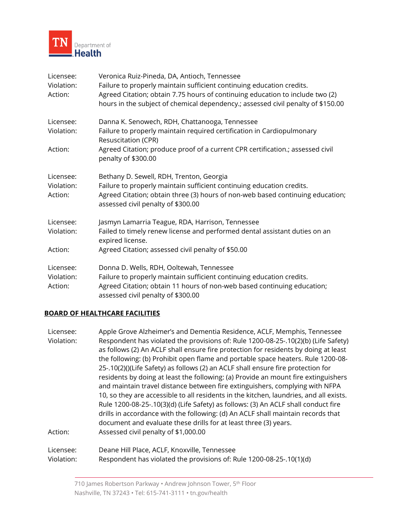

| Licensee:<br>Violation:<br>Action: | Veronica Ruiz-Pineda, DA, Antioch, Tennessee<br>Failure to properly maintain sufficient continuing education credits.<br>Agreed Citation; obtain 7.75 hours of continuing education to include two (2)<br>hours in the subject of chemical dependency.; assessed civil penalty of \$150.00 |
|------------------------------------|--------------------------------------------------------------------------------------------------------------------------------------------------------------------------------------------------------------------------------------------------------------------------------------------|
| Licensee:                          | Danna K. Senowech, RDH, Chattanooga, Tennessee                                                                                                                                                                                                                                             |
| Violation:                         | Failure to properly maintain required certification in Cardiopulmonary<br>Resuscitation (CPR)                                                                                                                                                                                              |
| Action:                            | Agreed Citation; produce proof of a current CPR certification.; assessed civil<br>penalty of \$300.00                                                                                                                                                                                      |
| Licensee:<br>Violation:<br>Action: | Bethany D. Sewell, RDH, Trenton, Georgia<br>Failure to properly maintain sufficient continuing education credits.<br>Agreed Citation; obtain three (3) hours of non-web based continuing education;<br>assessed civil penalty of \$300.00                                                  |
| Licensee:<br>Violation:            | Jasmyn Lamarria Teague, RDA, Harrison, Tennessee<br>Failed to timely renew license and performed dental assistant duties on an                                                                                                                                                             |
| Action:                            | expired license.<br>Agreed Citation; assessed civil penalty of \$50.00                                                                                                                                                                                                                     |
| Licensee:<br>Violation:<br>Action: | Donna D. Wells, RDH, Ooltewah, Tennessee<br>Failure to properly maintain sufficient continuing education credits.<br>Agreed Citation; obtain 11 hours of non-web based continuing education;<br>assessed civil penalty of \$300.00                                                         |

## **BOARD OF HEALTHCARE FACILITIES**

| Licensee:  | Apple Grove Alzheimer's and Dementia Residence, ACLF, Memphis, Tennessee               |
|------------|----------------------------------------------------------------------------------------|
| Violation: | Respondent has violated the provisions of: Rule 1200-08-25-.10(2)(b) (Life Safety)     |
|            | as follows (2) An ACLF shall ensure fire protection for residents by doing at least    |
|            | the following: (b) Prohibit open flame and portable space heaters. Rule 1200-08-       |
|            | 25-.10(2)()(Life Safety) as follows (2) an ACLF shall ensure fire protection for       |
|            | residents by doing at least the following: (a) Provide an mount fire extinguishers     |
|            | and maintain travel distance between fire extinguishers, complying with NFPA           |
|            | 10, so they are accessible to all residents in the kitchen, laundries, and all exists. |
|            | Rule 1200-08-25-.10(3)(d) (Life Safety) as follows: (3) An ACLF shall conduct fire     |
|            | drills in accordance with the following: (d) An ACLF shall maintain records that       |
|            | document and evaluate these drills for at least three (3) years.                       |
| Action:    | Assessed civil penalty of \$1,000.00                                                   |
| Licensee:  | Deane Hill Place, ACLF, Knoxville, Tennessee                                           |
| Violation: | Respondent has violated the provisions of: Rule 1200-08-25-.10(1)(d)                   |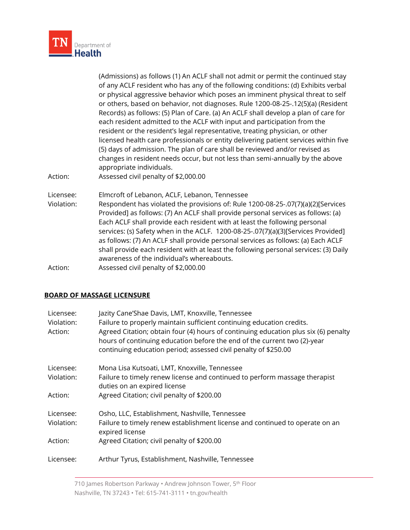

| Action:                 | (Admissions) as follows (1) An ACLF shall not admit or permit the continued stay<br>of any ACLF resident who has any of the following conditions: (d) Exhibits verbal<br>or physical aggressive behavior which poses an imminent physical threat to self<br>or others, based on behavior, not diagnoses. Rule 1200-08-25-.12(5)(a) (Resident<br>Records) as follows: (5) Plan of Care. (a) An ACLF shall develop a plan of care for<br>each resident admitted to the ACLF with input and participation from the<br>resident or the resident's legal representative, treating physician, or other<br>licensed health care professionals or entity delivering patient services within five<br>(5) days of admission. The plan of care shall be reviewed and/or revised as<br>changes in resident needs occur, but not less than semi-annually by the above<br>appropriate individuals.<br>Assessed civil penalty of \$2,000.00 |
|-------------------------|------------------------------------------------------------------------------------------------------------------------------------------------------------------------------------------------------------------------------------------------------------------------------------------------------------------------------------------------------------------------------------------------------------------------------------------------------------------------------------------------------------------------------------------------------------------------------------------------------------------------------------------------------------------------------------------------------------------------------------------------------------------------------------------------------------------------------------------------------------------------------------------------------------------------------|
| Licensee:<br>Violation: | Elmcroft of Lebanon, ACLF, Lebanon, Tennessee<br>Respondent has violated the provisions of: Rule 1200-08-25-.07(7)(a)(2)[Services<br>Provided] as follows: (7) An ACLF shall provide personal services as follows: (a)<br>Each ACLF shall provide each resident with at least the following personal<br>services: (s) Safety when in the ACLF. 1200-08-25-.07(7)(a)(3)[Services Provided]<br>as follows: (7) An ACLF shall provide personal services as follows: (a) Each ACLF<br>shall provide each resident with at least the following personal services: (3) Daily<br>awareness of the individual's whereabouts.                                                                                                                                                                                                                                                                                                         |
| Action:                 | Assessed civil penalty of \$2,000.00                                                                                                                                                                                                                                                                                                                                                                                                                                                                                                                                                                                                                                                                                                                                                                                                                                                                                         |

### **BOARD OF MASSAGE LICENSURE**

| Licensee:<br>Violation:<br>Action: | Jazity Cane'Shae Davis, LMT, Knoxville, Tennessee<br>Failure to properly maintain sufficient continuing education credits.<br>Agreed Citation; obtain four (4) hours of continuing education plus six (6) penalty<br>hours of continuing education before the end of the current two (2)-year<br>continuing education period; assessed civil penalty of \$250.00 |
|------------------------------------|------------------------------------------------------------------------------------------------------------------------------------------------------------------------------------------------------------------------------------------------------------------------------------------------------------------------------------------------------------------|
| Licensee:                          | Mona Lisa Kutsoati, LMT, Knoxville, Tennessee                                                                                                                                                                                                                                                                                                                    |
| Violation:                         | Failure to timely renew license and continued to perform massage therapist<br>duties on an expired license                                                                                                                                                                                                                                                       |
| Action:                            | Agreed Citation; civil penalty of \$200.00                                                                                                                                                                                                                                                                                                                       |
| Licensee:                          | Osho, LLC, Establishment, Nashville, Tennessee                                                                                                                                                                                                                                                                                                                   |
| Violation:                         | Failure to timely renew establishment license and continued to operate on an<br>expired license                                                                                                                                                                                                                                                                  |
| Action:                            | Agreed Citation; civil penalty of \$200.00                                                                                                                                                                                                                                                                                                                       |
| Licensee:                          | Arthur Tyrus, Establishment, Nashville, Tennessee                                                                                                                                                                                                                                                                                                                |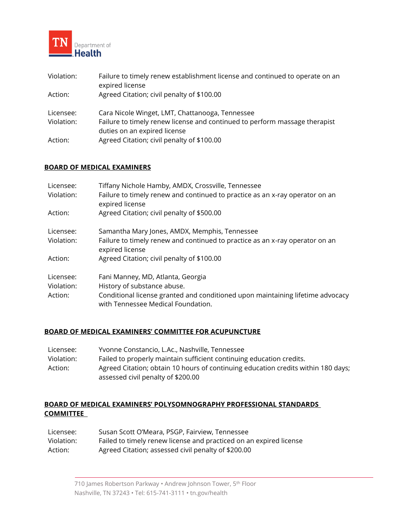

| Violation:              | Failure to timely renew establishment license and continued to operate on an<br>expired license                                                               |
|-------------------------|---------------------------------------------------------------------------------------------------------------------------------------------------------------|
| Action:                 | Agreed Citation; civil penalty of \$100.00                                                                                                                    |
| Licensee:<br>Violation: | Cara Nicole Winget, LMT, Chattanooga, Tennessee<br>Failure to timely renew license and continued to perform massage therapist<br>duties on an expired license |
| Action:                 | Agreed Citation; civil penalty of \$100.00                                                                                                                    |

### **BOARD OF MEDICAL EXAMINERS**

| Licensee:<br>Violation: | Tiffany Nichole Hamby, AMDX, Crossville, Tennessee<br>Failure to timely renew and continued to practice as an x-ray operator on an<br>expired license |
|-------------------------|-------------------------------------------------------------------------------------------------------------------------------------------------------|
| Action:                 | Agreed Citation; civil penalty of \$500.00                                                                                                            |
| Licensee:               | Samantha Mary Jones, AMDX, Memphis, Tennessee                                                                                                         |
| Violation:              | Failure to timely renew and continued to practice as an x-ray operator on an<br>expired license                                                       |
| Action:                 | Agreed Citation; civil penalty of \$100.00                                                                                                            |
| Licensee:               | Fani Manney, MD, Atlanta, Georgia                                                                                                                     |
| Violation:              | History of substance abuse.                                                                                                                           |
| Action:                 | Conditional license granted and conditioned upon maintaining lifetime advocacy<br>with Tennessee Medical Foundation.                                  |

#### **BOARD OF MEDICAL EXAMINERS' COMMITTEE FOR ACUPUNCTURE**

| Licensee:  | Yvonne Constancio, L.Ac., Nashville, Tennessee                                    |
|------------|-----------------------------------------------------------------------------------|
| Violation: | Failed to properly maintain sufficient continuing education credits.              |
| Action:    | Agreed Citation; obtain 10 hours of continuing education credits within 180 days; |
|            | assessed civil penalty of \$200.00                                                |

### **BOARD OF MEDICAL EXAMINERS' POLYSOMNOGRAPHY PROFESSIONAL STANDARDS COMMITTEE**

| Licensee:  | Susan Scott O'Meara, PSGP, Fairview, Tennessee                     |
|------------|--------------------------------------------------------------------|
| Violation: | Failed to timely renew license and practiced on an expired license |
| Action:    | Agreed Citation; assessed civil penalty of \$200.00                |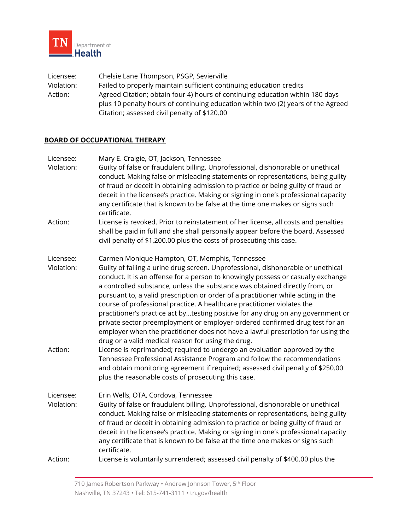

Licensee: Chelsie Lane Thompson, PSGP, Sevierville Violation: Failed to properly maintain sufficient continuing education credits Action: Agreed Citation; obtain four 4) hours of continuing education within 180 days plus 10 penalty hours of continuing education within two (2) years of the Agreed Citation; assessed civil penalty of \$120.00

### **BOARD OF OCCUPATIONAL THERAPY**

| Licensee:                          | Mary E. Craigie, OT, Jackson, Tennessee                                                                                                                                                                                                                                                                                                                                                                                                                                                                                                                                                                                                                                                                                                                                                                                                                                                                                                                                                                                                                                              |
|------------------------------------|--------------------------------------------------------------------------------------------------------------------------------------------------------------------------------------------------------------------------------------------------------------------------------------------------------------------------------------------------------------------------------------------------------------------------------------------------------------------------------------------------------------------------------------------------------------------------------------------------------------------------------------------------------------------------------------------------------------------------------------------------------------------------------------------------------------------------------------------------------------------------------------------------------------------------------------------------------------------------------------------------------------------------------------------------------------------------------------|
| Violation:                         | Guilty of false or fraudulent billing. Unprofessional, dishonorable or unethical<br>conduct. Making false or misleading statements or representations, being guilty<br>of fraud or deceit in obtaining admission to practice or being guilty of fraud or<br>deceit in the licensee's practice. Making or signing in one's professional capacity<br>any certificate that is known to be false at the time one makes or signs such<br>certificate.                                                                                                                                                                                                                                                                                                                                                                                                                                                                                                                                                                                                                                     |
| Action:                            | License is revoked. Prior to reinstatement of her license, all costs and penalties<br>shall be paid in full and she shall personally appear before the board. Assessed<br>civil penalty of \$1,200.00 plus the costs of prosecuting this case.                                                                                                                                                                                                                                                                                                                                                                                                                                                                                                                                                                                                                                                                                                                                                                                                                                       |
| Licensee:<br>Violation:<br>Action: | Carmen Monique Hampton, OT, Memphis, Tennessee<br>Guilty of failing a urine drug screen. Unprofessional, dishonorable or unethical<br>conduct. It is an offense for a person to knowingly possess or casually exchange<br>a controlled substance, unless the substance was obtained directly from, or<br>pursuant to, a valid prescription or order of a practitioner while acting in the<br>course of professional practice. A healthcare practitioner violates the<br>practitioner's practice act bytesting positive for any drug on any government or<br>private sector preemployment or employer-ordered confirmed drug test for an<br>employer when the practitioner does not have a lawful prescription for using the<br>drug or a valid medical reason for using the drug.<br>License is reprimanded; required to undergo an evaluation approved by the<br>Tennessee Professional Assistance Program and follow the recommendations<br>and obtain monitoring agreement if required; assessed civil penalty of \$250.00<br>plus the reasonable costs of prosecuting this case. |
| Licensee:<br>Violation:<br>Action: | Erin Wells, OTA, Cordova, Tennessee<br>Guilty of false or fraudulent billing. Unprofessional, dishonorable or unethical<br>conduct. Making false or misleading statements or representations, being guilty<br>of fraud or deceit in obtaining admission to practice or being guilty of fraud or<br>deceit in the licensee's practice. Making or signing in one's professional capacity<br>any certificate that is known to be false at the time one makes or signs such<br>certificate.<br>License is voluntarily surrendered; assessed civil penalty of \$400.00 plus the                                                                                                                                                                                                                                                                                                                                                                                                                                                                                                           |
|                                    |                                                                                                                                                                                                                                                                                                                                                                                                                                                                                                                                                                                                                                                                                                                                                                                                                                                                                                                                                                                                                                                                                      |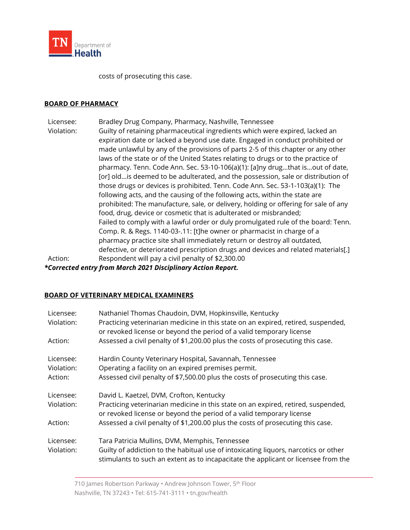

costs of prosecuting this case.

#### **BOARD OF PHARMACY**

Licensee: Bradley Drug Company, Pharmacy, Nashville, Tennessee Violation: Guilty of retaining pharmaceutical ingredients which were expired, lacked an expiration date or lacked a beyond use date. Engaged in conduct prohibited or made unlawful by any of the provisions of parts 2-5 of this chapter or any other laws of the state or of the United States relating to drugs or to the practice of pharmacy. Tenn. Code Ann. Sec. 53-10-106(a)(1): [a]ny drug…that is…out of date, [or] old…is deemed to be adulterated, and the possession, sale or distribution of those drugs or devices is prohibited. Tenn. Code Ann. Sec. 53-1-103(a)(1): The following acts, and the causing of the following acts, within the state are prohibited: The manufacture, sale, or delivery, holding or offering for sale of any food, drug, device or cosmetic that is adulterated or misbranded; Failed to comply with a lawful order or duly promulgated rule of the board: Tenn. Comp. R. & Regs. 1140-03-.11: [t]he owner or pharmacist in charge of a pharmacy practice site shall immediately return or destroy all outdated, defective, or deteriorated prescription drugs and devices and related materials[.] Action: Respondent will pay a civil penalty of \$2,300.00

*\*Corrected entry from March 2021 Disciplinary Action Report.*

### **BOARD OF VETERINARY MEDICAL EXAMINERS**

| Licensee:<br>Violation:<br>Action: | Nathaniel Thomas Chaudoin, DVM, Hopkinsville, Kentucky<br>Practicing veterinarian medicine in this state on an expired, retired, suspended,<br>or revoked license or beyond the period of a valid temporary license<br>Assessed a civil penalty of \$1,200.00 plus the costs of prosecuting this case. |
|------------------------------------|--------------------------------------------------------------------------------------------------------------------------------------------------------------------------------------------------------------------------------------------------------------------------------------------------------|
| Licensee:<br>Violation:<br>Action: | Hardin County Veterinary Hospital, Savannah, Tennessee<br>Operating a facility on an expired premises permit.<br>Assessed civil penalty of \$7,500.00 plus the costs of prosecuting this case.                                                                                                         |
| Licensee:<br>Violation:<br>Action: | David L. Kaetzel, DVM, Crofton, Kentucky<br>Practicing veterinarian medicine in this state on an expired, retired, suspended,<br>or revoked license or beyond the period of a valid temporary license<br>Assessed a civil penalty of \$1,200.00 plus the costs of prosecuting this case.               |
| Licensee:<br>Violation:            | Tara Patricia Mullins, DVM, Memphis, Tennessee<br>Guilty of addiction to the habitual use of intoxicating liquors, narcotics or other<br>stimulants to such an extent as to incapacitate the applicant or licensee from the                                                                            |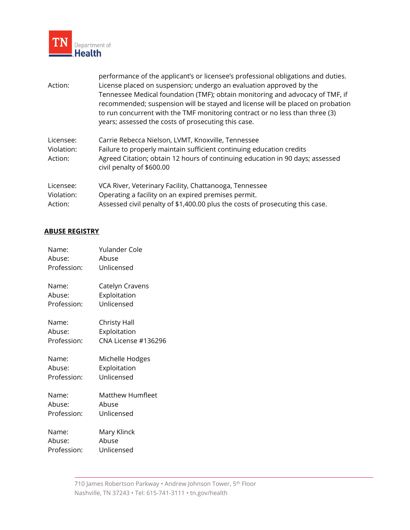

| Action:                            | performance of the applicant's or licensee's professional obligations and duties.<br>License placed on suspension; undergo an evaluation approved by the<br>Tennessee Medical foundation (TMF); obtain monitoring and advocacy of TMF, if<br>recommended; suspension will be stayed and license will be placed on probation<br>to run concurrent with the TMF monitoring contract or no less than three (3)<br>years; assessed the costs of prosecuting this case. |
|------------------------------------|--------------------------------------------------------------------------------------------------------------------------------------------------------------------------------------------------------------------------------------------------------------------------------------------------------------------------------------------------------------------------------------------------------------------------------------------------------------------|
| Licensee:<br>Violation:<br>Action: | Carrie Rebecca Nielson, LVMT, Knoxville, Tennessee<br>Failure to properly maintain sufficient continuing education credits<br>Agreed Citation; obtain 12 hours of continuing education in 90 days; assessed<br>civil penalty of \$600.00                                                                                                                                                                                                                           |
| Licensee:<br>Violation:<br>Action: | VCA River, Veterinary Facility, Chattanooga, Tennessee<br>Operating a facility on an expired premises permit.<br>Assessed civil penalty of \$1,400.00 plus the costs of prosecuting this case.                                                                                                                                                                                                                                                                     |

### **ABUSE REGISTRY**

| Name:<br>Abuse: | Yulander Cole<br>Abuse |
|-----------------|------------------------|
| Profession:     | Unlicensed             |
| Name:           | Catelyn Cravens        |
| Abuse:          | Exploitation           |
| Profession:     | Unlicensed             |
| Name:           | Christy Hall           |
| Abuse:          | Exploitation           |
| Profession:     | CNA License #136296    |
| Name:           | Michelle Hodges        |
| Abuse:          | Exploitation           |
| Profession:     | Unlicensed             |
| Name:           | Matthew Humfleet       |
| Abuse:          | Abuse                  |
| Profession:     | Unlicensed             |
| Name:           | Mary Klinck            |
| Abuse:          | Abuse                  |
| Profession:     | Unlicensed             |